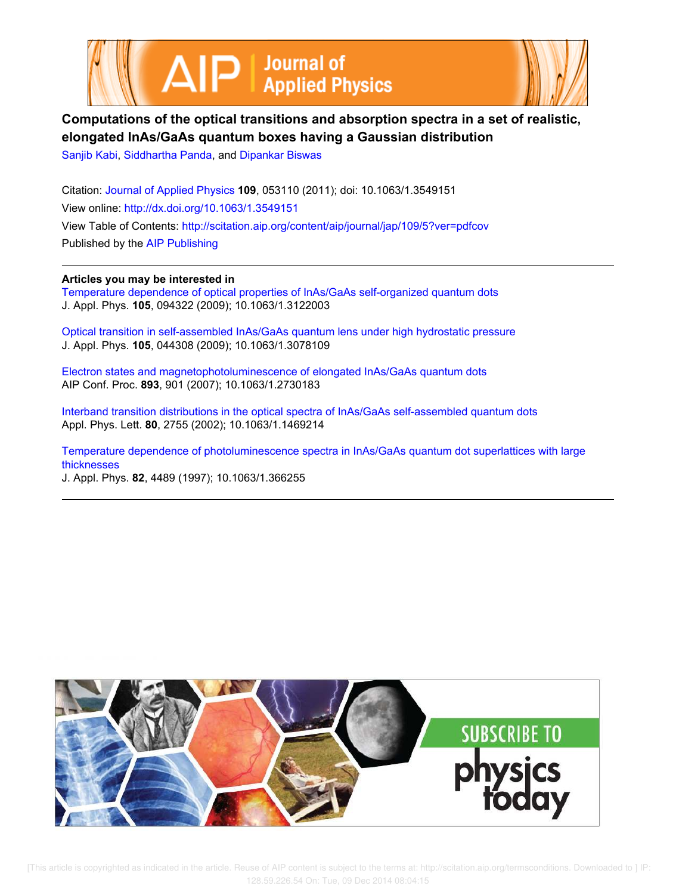



# **Computations of the optical transitions and absorption spectra in a set of realistic, elongated InAs/GaAs quantum boxes having a Gaussian distribution**

Sanjib Kabi, Siddhartha Panda, and Dipankar Biswas

Citation: Journal of Applied Physics **109**, 053110 (2011); doi: 10.1063/1.3549151 View online: http://dx.doi.org/10.1063/1.3549151 View Table of Contents: http://scitation.aip.org/content/aip/journal/jap/109/5?ver=pdfcov Published by the AIP Publishing

**Articles you may be interested in**

Temperature dependence of optical properties of InAs/GaAs self-organized quantum dots J. Appl. Phys. **105**, 094322 (2009); 10.1063/1.3122003

Optical transition in self-assembled InAs/GaAs quantum lens under high hydrostatic pressure J. Appl. Phys. **105**, 044308 (2009); 10.1063/1.3078109

Electron states and magnetophotoluminescence of elongated InAs/GaAs quantum dots AIP Conf. Proc. **893**, 901 (2007); 10.1063/1.2730183

Interband transition distributions in the optical spectra of InAs/GaAs self-assembled quantum dots Appl. Phys. Lett. **80**, 2755 (2002); 10.1063/1.1469214

Temperature dependence of photoluminescence spectra in InAs/GaAs quantum dot superlattices with large thicknesses

J. Appl. Phys. **82**, 4489 (1997); 10.1063/1.366255



 [This article is copyrighted as indicated in the article. Reuse of AIP content is subject to the terms at: http://scitation.aip.org/termsconditions. Downloaded to ] IP: 128.59.226.54 On: Tue, 09 Dec 2014 08:04:15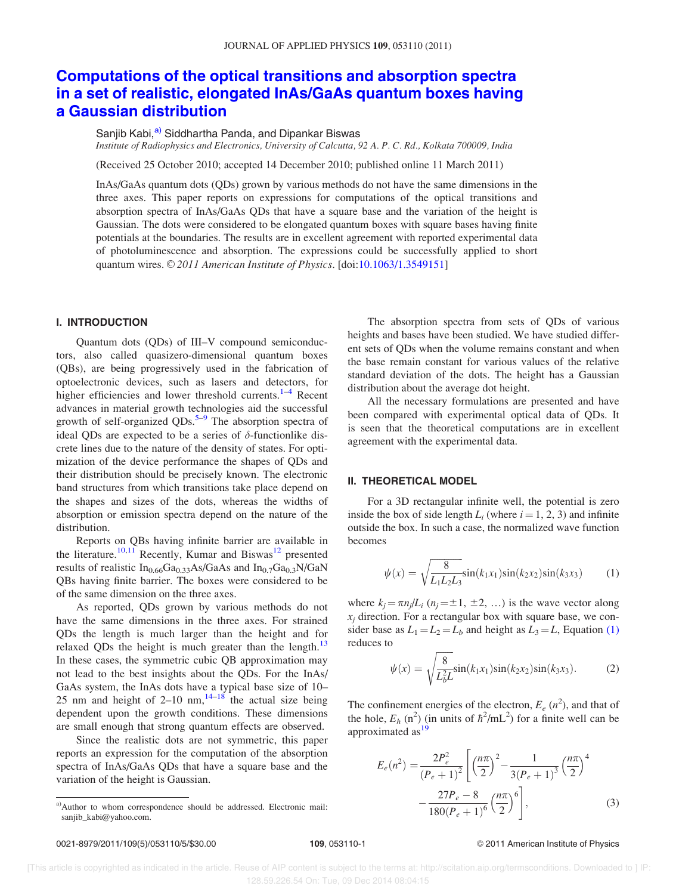## Computations of the optical transitions and absorption spectra in a set of realistic, elongated InAs/GaAs quantum boxes having a Gaussian distribution

Sanjib Kabi,<sup>a)</sup> Siddhartha Panda, and Dipankar Biswas

Institute of Radiophysics and Electronics, University of Calcutta, 92 A. P. C. Rd., Kolkata 700009, India

(Received 25 October 2010; accepted 14 December 2010; published online 11 March 2011)

InAs/GaAs quantum dots (QDs) grown by various methods do not have the same dimensions in the three axes. This paper reports on expressions for computations of the optical transitions and absorption spectra of InAs/GaAs QDs that have a square base and the variation of the height is Gaussian. The dots were considered to be elongated quantum boxes with square bases having finite potentials at the boundaries. The results are in excellent agreement with reported experimental data of photoluminescence and absorption. The expressions could be successfully applied to short quantum wires.  $\odot$  2011 American Institute of Physics. [doi:10.1063/1.3549151]

### I. INTRODUCTION

Quantum dots (QDs) of III–V compound semiconductors, also called quasizero-dimensional quantum boxes (QBs), are being progressively used in the fabrication of optoelectronic devices, such as lasers and detectors, for higher efficiencies and lower threshold currents.<sup>1–4</sup> Recent advances in material growth technologies aid the successful growth of self-organized QDs.<sup>5-9</sup> The absorption spectra of ideal QDs are expected to be a series of  $\delta$ -functionlike discrete lines due to the nature of the density of states. For optimization of the device performance the shapes of QDs and their distribution should be precisely known. The electronic band structures from which transitions take place depend on the shapes and sizes of the dots, whereas the widths of absorption or emission spectra depend on the nature of the distribution.

Reports on QBs having infinite barrier are available in the literature.<sup>10,11</sup> Recently, Kumar and Biswas<sup>12</sup> presented results of realistic  $In<sub>0.66</sub>Ga<sub>0.33</sub>As/GaAs$  and  $In<sub>0.7</sub>Ga<sub>0.3</sub>N/GaN$ QBs having finite barrier. The boxes were considered to be of the same dimension on the three axes.

As reported, QDs grown by various methods do not have the same dimensions in the three axes. For strained QDs the length is much larger than the height and for relaxed ODs the height is much greater than the length.<sup>13</sup> In these cases, the symmetric cubic QB approximation may not lead to the best insights about the QDs. For the InAs/ GaAs system, the InAs dots have a typical base size of 10– 25 nm and height of 2–10 nm,  $14-18$  the actual size being dependent upon the growth conditions. These dimensions are small enough that strong quantum effects are observed.

Since the realistic dots are not symmetric, this paper reports an expression for the computation of the absorption spectra of InAs/GaAs QDs that have a square base and the variation of the height is Gaussian.

The absorption spectra from sets of QDs of various heights and bases have been studied. We have studied different sets of QDs when the volume remains constant and when the base remain constant for various values of the relative standard deviation of the dots. The height has a Gaussian distribution about the average dot height.

All the necessary formulations are presented and have been compared with experimental optical data of QDs. It is seen that the theoretical computations are in excellent agreement with the experimental data.

### II. THEORETICAL MODEL

For a 3D rectangular infinite well, the potential is zero inside the box of side length  $L_i$  (where  $i = 1, 2, 3$ ) and infinite outside the box. In such a case, the normalized wave function becomes

$$
\psi(x) = \sqrt{\frac{8}{L_1 L_2 L_3}} \sin(k_1 x_1) \sin(k_2 x_2) \sin(k_3 x_3)
$$
 (1)

where  $k_j = \pi n_j/L_i$  ( $n_j = \pm 1, \pm 2, \ldots$ ) is the wave vector along  $x_i$  direction. For a rectangular box with square base, we consider base as  $L_1 = L_2 = L_b$  and height as  $L_3 = L$ , Equation (1) reduces to

$$
\psi(x) = \sqrt{\frac{8}{L_b^2 L}} \sin(k_1 x_1) \sin(k_2 x_2) \sin(k_3 x_3).
$$
 (2)

The confinement energies of the electron,  $E_e$  ( $n^2$ ), and that of the hole,  $E_h$  (n<sup>2</sup>) (in units of  $\hbar^2$ /mL<sup>2</sup>) for a finite well can be approximated as $^{19}$ 

$$
E_e(n^2) = \frac{2P_e^2}{(P_e+1)^2} \left[ \left(\frac{n\pi}{2}\right)^2 - \frac{1}{3(P_e+1)^3} \left(\frac{n\pi}{2}\right)^4 - \frac{27P_e - 8}{180(P_e+1)^6} \left(\frac{n\pi}{2}\right)^6 \right],
$$
 (3)

### 0021-8979/2011/109(5)/053110/5/\$30.00 109, 053110-1 © 2011 American Institute of Physics

 $a)$ Author to whom correspondence should be addressed. Electronic mail: sanjib\_kabi@yahoo.com.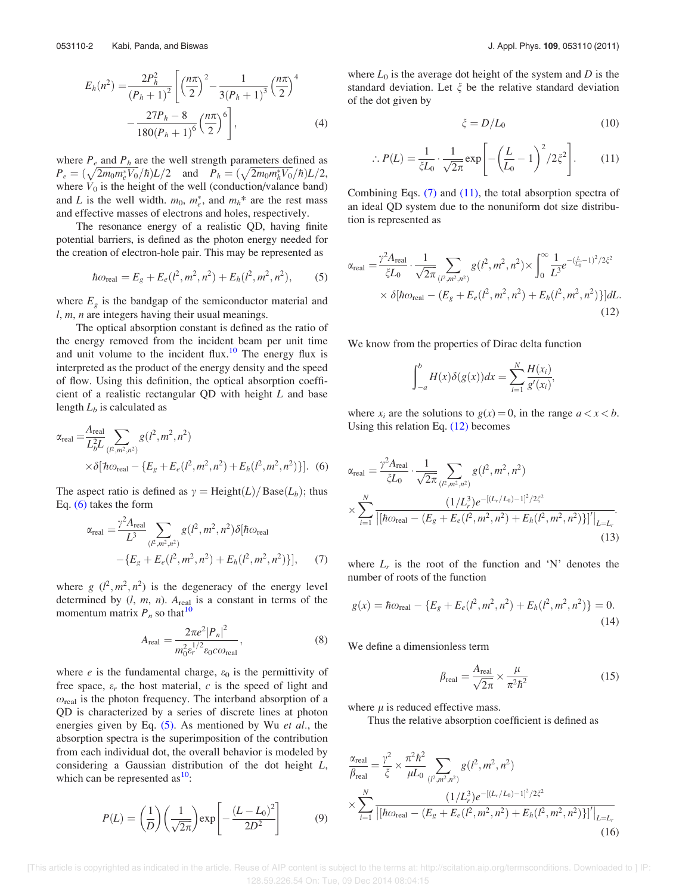$$
E_h(n^2) = \frac{2P_h^2}{(P_h+1)^2} \left[ \left(\frac{n\pi}{2}\right)^2 - \frac{1}{3(P_h+1)^3} \left(\frac{n\pi}{2}\right)^4 - \frac{27P_h - 8}{180(P_h+1)^6} \left(\frac{n\pi}{2}\right)^6 \right],
$$
 (4)

where  $P_e$  and  $P_h$  are the well strength parameters defined as  $P_e = (\sqrt{2m_0m_e^*V_0}/\hbar)L/2$  and  $P_h = (\sqrt{2m_0m_h^*V_0}/\hbar)L/2$ , where  $V_0$  is the height of the well (conduction/valance band) and L is the well width.  $m_0$ ,  $m_e^*$ , and  $m_h^*$  are the rest mass and effective masses of electrons and holes, respectively.

The resonance energy of a realistic QD, having finite potential barriers, is defined as the photon energy needed for the creation of electron-hole pair. This may be represented as

$$
\hbar \omega_{\text{real}} = E_g + E_e(l^2, m^2, n^2) + E_h(l^2, m^2, n^2), \tag{5}
$$

where  $E<sub>g</sub>$  is the bandgap of the semiconductor material and  $l, m, n$  are integers having their usual meanings.

The optical absorption constant is defined as the ratio of the energy removed from the incident beam per unit time and unit volume to the incident flux.<sup>10</sup> The energy flux is interpreted as the product of the energy density and the speed of flow. Using this definition, the optical absorption coefficient of a realistic rectangular QD with height  $L$  and base length  $L_b$  is calculated as

$$
\alpha_{\text{real}} = \frac{A_{\text{real}}}{L_b^2 L} \sum_{(l^2, m^2, n^2)} g(l^2, m^2, n^2)
$$
  
 
$$
\times \delta[\hbar \omega_{\text{real}} - \{E_g + E_e(l^2, m^2, n^2) + E_h(l^2, m^2, n^2)\}].
$$
 (6)

The aspect ratio is defined as  $\gamma = \text{Height}(L)/\text{Base}(L_b)$ ; thus Eq. (6) takes the form

$$
\alpha_{\text{real}} = \frac{\gamma^2 A_{\text{real}}}{L^3} \sum_{(P,m^2,n^2)} g(l^2,m^2,n^2) \delta[\hbar \omega_{\text{real}} -\{E_g + E_e(l^2,m^2,n^2) + E_h(l^2,m^2,n^2)\}], \tag{7}
$$

where  $g(\ell^2, m^2, n^2)$  is the degeneracy of the energy level determined by  $(l, m, n)$ .  $A_{\text{real}}$  is a constant in terms of the momentum matrix  $P_n$  so that  $10$ 

$$
A_{\text{real}} = \frac{2\pi e^2 |P_n|^2}{m_0^2 \epsilon_r^{1/2} \varepsilon_0 c \omega_{\text{real}}},\tag{8}
$$

where *e* is the fundamental charge,  $\varepsilon_0$  is the permittivity of free space,  $\varepsilon_r$  the host material, c is the speed of light and  $\omega_{\text{real}}$  is the photon frequency. The interband absorption of a QD is characterized by a series of discrete lines at photon energies given by Eq.  $(5)$ . As mentioned by Wu et al., the absorption spectra is the superimposition of the contribution from each individual dot, the overall behavior is modeled by considering a Gaussian distribution of the dot height L, which can be represented as  $10$ :

$$
P(L) = \left(\frac{1}{D}\right) \left(\frac{1}{\sqrt{2\pi}}\right) \exp\left[-\frac{(L-L_0)^2}{2D^2}\right] \tag{9}
$$

where  $L_0$  is the average dot height of the system and D is the standard deviation. Let  $\xi$  be the relative standard deviation of the dot given by

$$
\xi = D/L_0 \tag{10}
$$

$$
\therefore P(L) = \frac{1}{\xi L_0} \cdot \frac{1}{\sqrt{2\pi}} \exp\left[ -\left(\frac{L}{L_0} - 1\right)^2 / 2\xi^2 \right].
$$
 (11)

Combining Eqs. (7) and (11), the total absorption spectra of an ideal QD system due to the nonuniform dot size distribution is represented as

$$
\alpha_{\text{real}} = \frac{\gamma^2 A_{\text{real}}}{\zeta L_0} \cdot \frac{1}{\sqrt{2\pi}} \sum_{(l^2, m^2, n^2)} g(l^2, m^2, n^2) \times \int_0^\infty \frac{1}{L^3} e^{-(\frac{L}{L_0} - 1)^2 / 2\zeta^2} \times \delta[\hbar \omega_{\text{real}} - (E_g + E_e(l^2, m^2, n^2) + E_h(l^2, m^2, n^2))] dL.
$$
\n(12)

We know from the properties of Dirac delta function

$$
\int_{-a}^{b} H(x)\delta(g(x))dx = \sum_{i=1}^{N} \frac{H(x_i)}{g'(x_i)},
$$

where  $x_i$  are the solutions to  $g(x) = 0$ , in the range  $a < x < b$ . Using this relation Eq. (12) becomes

$$
\alpha_{\text{real}} = \frac{\gamma^2 A_{\text{real}}}{\zeta L_0} \cdot \frac{1}{\sqrt{2\pi}} \sum_{(P,m^2,n^2)} g(l^2, m^2, n^2)
$$
  
 
$$
\times \sum_{i=1}^N \frac{(1/L_r^3) e^{-[(L_r/L_0)-1]^2/2\zeta^2}}{|\lceil \hbar \omega_{\text{real}} - (E_g + E_e(l^2, m^2, n^2) + E_h(l^2, m^2, n^2)) \rceil'} \Big|_{L=L_r}.
$$
(13)

where  $L_r$  is the root of the function and 'N' denotes the number of roots of the function

$$
g(x) = \hbar \omega_{\text{real}} - \{E_g + E_e(l^2, m^2, n^2) + E_h(l^2, m^2, n^2)\} = 0.
$$
\n(14)

We define a dimensionless term

$$
\beta_{\text{real}} = \frac{A_{\text{real}}}{\sqrt{2\pi}} \times \frac{\mu}{\pi^2 \hbar^2}
$$
\n(15)

where  $\mu$  is reduced effective mass.

Thus the relative absorption coefficient is defined as

$$
\frac{\alpha_{\text{real}}}{\beta_{\text{real}}} = \frac{\gamma^2}{\xi} \times \frac{\pi^2 \hbar^2}{\mu L_0} \sum_{(l^2, m^2, n^2)} g(l^2, m^2, n^2)
$$
\n
$$
\times \sum_{i=1}^N \frac{(1/L_r^3) e^{-[(L_r/L_0) - 1]^2/2\xi^2}}{\left| [\hbar \omega_{\text{real}} - (E_g + E_e(l^2, m^2, n^2) + E_h(l^2, m^2, n^2)) \right|' \Big|_{L=L_r}}
$$
\n(16)

 [This article is copyrighted as indicated in the article. Reuse of AIP content is subject to the terms at: http://scitation.aip.org/termsconditions. Downloaded to ] IP: 128.59.226.54 On: Tue, 09 Dec 2014 08:04:15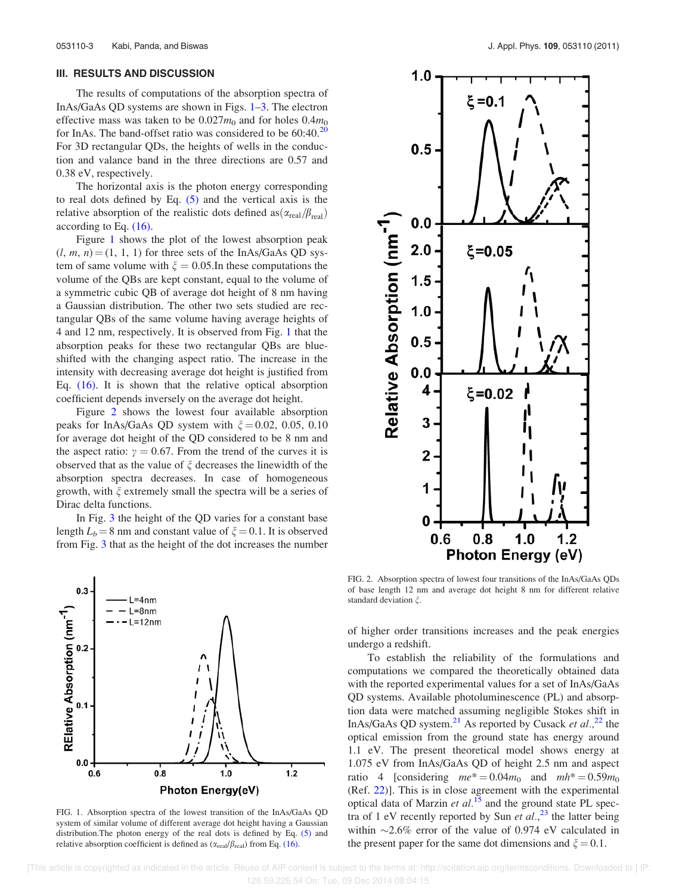### III. RESULTS AND DISCUSSION

The results of computations of the absorption spectra of InAs/GaAs QD systems are shown in Figs. 1–3. The electron effective mass was taken to be  $0.027m_0$  and for holes  $0.4m_0$ for InAs. The band-offset ratio was considered to be  $60:40$ .<sup>20</sup> For 3D rectangular QDs, the heights of wells in the conduction and valance band in the three directions are 0.57 and 0.38 eV, respectively.

The horizontal axis is the photon energy corresponding to real dots defined by Eq.  $(5)$  and the vertical axis is the relative absorption of the realistic dots defined as  $(\alpha_{\text{real}}/\beta_{\text{real}})$ according to Eq. (16).

Figure 1 shows the plot of the lowest absorption peak  $(l, m, n) = (1, 1, 1)$  for three sets of the InAs/GaAs QD system of same volume with  $\xi = 0.05$ . In these computations the volume of the QBs are kept constant, equal to the volume of a symmetric cubic QB of average dot height of 8 nm having a Gaussian distribution. The other two sets studied are rectangular QBs of the same volume having average heights of 4 and 12 nm, respectively. It is observed from Fig. 1 that the absorption peaks for these two rectangular QBs are blueshifted with the changing aspect ratio. The increase in the intensity with decreasing average dot height is justified from Eq. (16). It is shown that the relative optical absorption coefficient depends inversely on the average dot height.

Figure 2 shows the lowest four available absorption peaks for InAs/GaAs QD system with  $\xi = 0.02, 0.05, 0.10$ for average dot height of the QD considered to be 8 nm and the aspect ratio:  $\gamma = 0.67$ . From the trend of the curves it is observed that as the value of  $\xi$  decreases the linewidth of the absorption spectra decreases. In case of homogeneous growth, with  $\xi$  extremely small the spectra will be a series of Dirac delta functions.

In Fig. 3 the height of the QD varies for a constant base length  $L_b = 8$  nm and constant value of  $\xi = 0.1$ . It is observed from Fig. 3 that as the height of the dot increases the number



FIG. 1. Absorption spectra of the lowest transition of the InAs/GaAs QD system of similar volume of different average dot height having a Gaussian distribution.The photon energy of the real dots is defined by Eq. (5) and relative absorption coefficient is defined as  $(\alpha_{\text{real}}/\beta_{\text{real}})$  from Eq. (16).



FIG. 2. Absorption spectra of lowest four transitions of the InAs/GaAs QDs of base length 12 nm and average dot height 8 nm for different relative standard deviation  $\xi$ .

of higher order transitions increases and the peak energies undergo a redshift.

To establish the reliability of the formulations and computations we compared the theoretically obtained data with the reported experimental values for a set of InAs/GaAs QD systems. Available photoluminescence (PL) and absorption data were matched assuming negligible Stokes shift in InAs/GaAs QD system.<sup>21</sup> As reported by Cusack et al.,<sup>22</sup> the optical emission from the ground state has energy around 1.1 eV. The present theoretical model shows energy at 1.075 eV from InAs/GaAs QD of height 2.5 nm and aspect ratio 4 [considering  $me^* = 0.04m_0$  and  $mh^* = 0.59m_0$ (Ref. 22)]. This is in close agreement with the experimental optical data of Marzin et  $al$ <sup>15</sup> and the ground state PL spectra of 1 eV recently reported by Sun et  $al$ ,<sup>23</sup> the latter being within  $\sim$ 2.6% error of the value of 0.974 eV calculated in the present paper for the same dot dimensions and  $\xi = 0.1$ .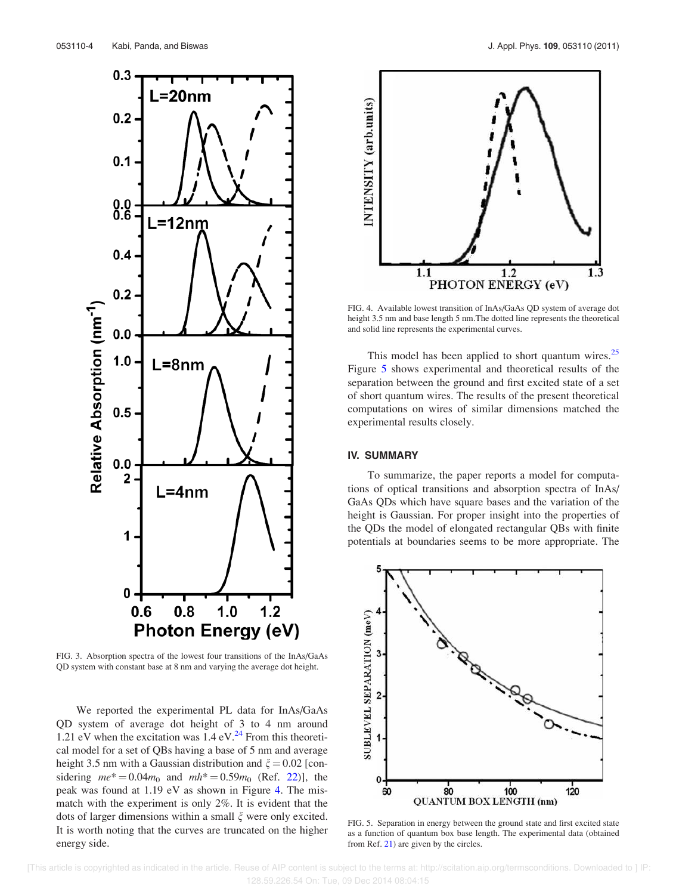

FIG. 3. Absorption spectra of the lowest four transitions of the InAs/GaAs QD system with constant base at 8 nm and varying the average dot height.

We reported the experimental PL data for InAs/GaAs QD system of average dot height of 3 to 4 nm around 1.21 eV when the excitation was  $1.4 \text{ eV}^{24}$  From this theoretical model for a set of QBs having a base of 5 nm and average height 3.5 nm with a Gaussian distribution and  $\xi = 0.02$  [considering  $me^* = 0.04m_0$  and  $mh^* = 0.59m_0$  (Ref. 22)], the peak was found at 1.19 eV as shown in Figure 4. The mismatch with the experiment is only 2%. It is evident that the dots of larger dimensions within a small  $\xi$  were only excited. It is worth noting that the curves are truncated on the higher energy side.



FIG. 4. Available lowest transition of InAs/GaAs QD system of average dot height 3.5 nm and base length 5 nm.The dotted line represents the theoretical and solid line represents the experimental curves.

This model has been applied to short quantum wires.<sup>25</sup> Figure 5 shows experimental and theoretical results of the separation between the ground and first excited state of a set of short quantum wires. The results of the present theoretical computations on wires of similar dimensions matched the experimental results closely.

## IV. SUMMARY

To summarize, the paper reports a model for computations of optical transitions and absorption spectra of InAs/ GaAs QDs which have square bases and the variation of the height is Gaussian. For proper insight into the properties of the QDs the model of elongated rectangular QBs with finite potentials at boundaries seems to be more appropriate. The



FIG. 5. Separation in energy between the ground state and first excited state as a function of quantum box base length. The experimental data (obtained from Ref. 21) are given by the circles.